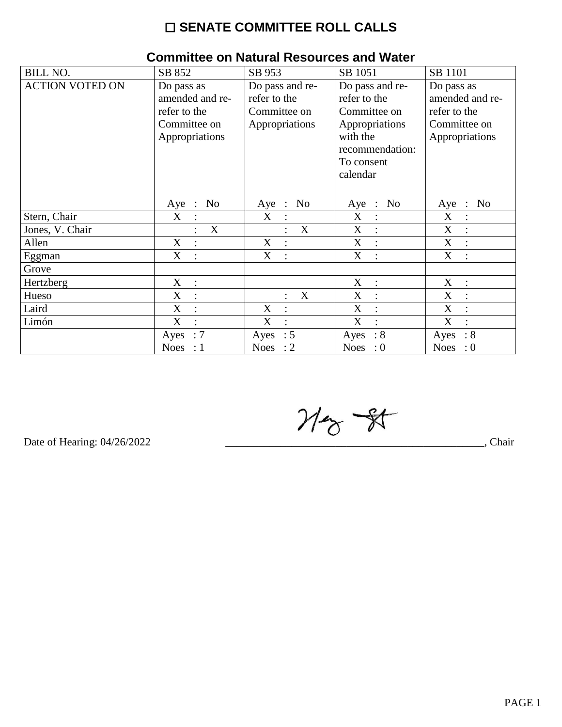# $\square$  SENATE COMMITTEE ROLL CALLS

| <b>BILL NO.</b>        | SB 852                                          | SB 953                                  | SB 1051                                         | SB 1101                            |
|------------------------|-------------------------------------------------|-----------------------------------------|-------------------------------------------------|------------------------------------|
| <b>ACTION VOTED ON</b> | Do pass as                                      | Do pass and re-                         | Do pass and re-                                 | Do pass as                         |
|                        | amended and re-                                 | refer to the                            | refer to the                                    | amended and re-                    |
|                        | refer to the                                    | Committee on                            | Committee on                                    | refer to the                       |
|                        | Committee on                                    | Appropriations                          | Appropriations                                  | Committee on                       |
|                        | Appropriations                                  |                                         | with the                                        | Appropriations                     |
|                        |                                                 |                                         | recommendation:                                 |                                    |
|                        |                                                 |                                         | To consent                                      |                                    |
|                        |                                                 |                                         | calendar                                        |                                    |
|                        |                                                 |                                         |                                                 |                                    |
|                        | N <sub>o</sub><br>Aye<br>$\ddot{\phantom{1}}$ : | N <sub>o</sub><br>Aye<br>$\ddot{\cdot}$ | N <sub>o</sub><br>Aye<br>$\ddot{\phantom{1}}$ : | N <sub>o</sub><br>Aye<br>$\cdot$ : |
| Stern, Chair           | X                                               | X                                       | X<br>$\ddot{\cdot}$                             | $\boldsymbol{\mathrm{X}}$          |
| Jones, V. Chair        | X                                               | $\mathbf X$                             | X<br>$\ddot{\cdot}$                             | X                                  |
| Allen                  | X<br>$\bullet$                                  | X<br>$\ddot{\cdot}$                     | X<br>$\ddot{\cdot}$                             | X<br>$\bullet$                     |
| Eggman                 | X                                               | X                                       | X<br>$\ddot{\cdot}$                             | X                                  |
| Grove                  |                                                 |                                         |                                                 |                                    |
| Hertzberg              | $\mathbf X$<br>$\ddot{\cdot}$                   |                                         | X<br>$\ddot{\cdot}$                             | X<br>$\ddot{\cdot}$                |
| Hueso                  | X<br>$\ddot{\cdot}$                             | X                                       | X<br>$\ddot{\cdot}$                             | X                                  |
| Laird                  | X<br>$\ddot{\cdot}$                             | X                                       | X<br>$\ddot{\cdot}$                             | X                                  |
| Limón                  | X                                               | X                                       | X<br>$\bullet$                                  | X                                  |
|                        | $\therefore 7$<br>Ayes                          | : 5<br>Ayes                             | $\therefore 8$<br>Ayes                          | $\therefore 8$<br>Ayes             |
|                        | Noes : $1$                                      | Noes : $2$                              | Noes : $0$                                      | Noes : $0$                         |

#### **Committee on Natural Resources and Water**

 $M_{\odot}$  -  $N$ 

Date of Hearing: 04/26/2022

 $\overline{a}$ , Chair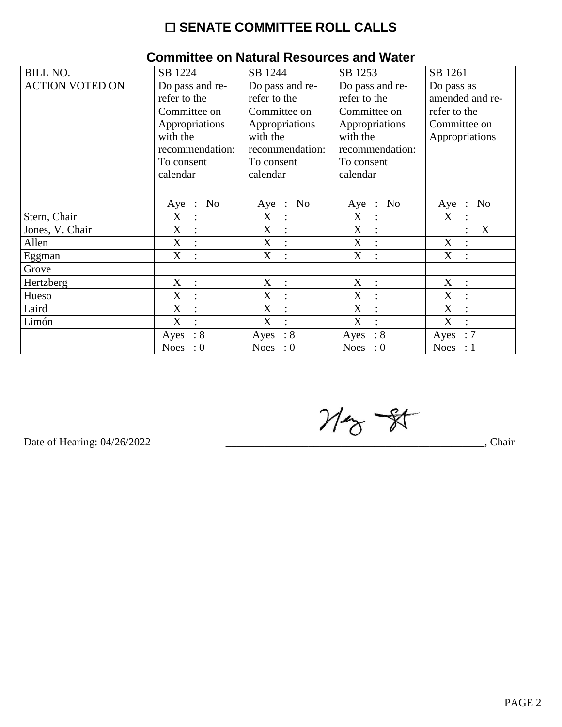# $\square$  SENATE COMMITTEE ROLL CALLS

| <b>BILL NO.</b>        | SB 1224                   | SB 1244                | SB 1253                                         | SB 1261                                 |  |  |  |
|------------------------|---------------------------|------------------------|-------------------------------------------------|-----------------------------------------|--|--|--|
| <b>ACTION VOTED ON</b> | Do pass and re-           | Do pass and re-        | Do pass and re-                                 | Do pass as                              |  |  |  |
|                        | refer to the              | refer to the           | refer to the                                    | amended and re-                         |  |  |  |
|                        | Committee on              | Committee on           | Committee on                                    | refer to the                            |  |  |  |
|                        | Appropriations            | Appropriations         | Appropriations                                  | Committee on                            |  |  |  |
|                        | with the                  | with the               | with the                                        | Appropriations                          |  |  |  |
|                        | recommendation:           | recommendation:        | recommendation:                                 |                                         |  |  |  |
|                        | To consent                | To consent             | To consent                                      |                                         |  |  |  |
|                        | calendar                  | calendar               | calendar                                        |                                         |  |  |  |
|                        |                           |                        |                                                 |                                         |  |  |  |
|                        | N <sub>o</sub><br>$Aye$ : | No<br>Aye :            | N <sub>o</sub><br>Aye<br>$\ddot{\phantom{1}}$ : | N <sub>o</sub><br>Aye<br>$\mathbb{R}^2$ |  |  |  |
| Stern, Chair           | X<br>$\ddot{\cdot}$       | X                      | X                                               | X                                       |  |  |  |
| Jones, V. Chair        | X<br>$\ddot{\cdot}$       | X                      | X<br>$\ddot{\cdot}$                             | X                                       |  |  |  |
| Allen                  | X<br>$\cdot$              | X<br>$\cdot$           | X<br>$\ddot{\cdot}$                             | X<br>$\ddot{\cdot}$                     |  |  |  |
| Eggman                 | X                         | X                      | X<br>$\ddot{\cdot}$                             | X                                       |  |  |  |
| Grove                  |                           |                        |                                                 |                                         |  |  |  |
| Hertzberg              | X<br>$\ddot{\cdot}$       | X<br>$\ddot{\cdot}$    | X<br>$\ddot{\cdot}$                             | X<br>$\ddot{\cdot}$                     |  |  |  |
| Hueso                  | X<br>$\ddot{\cdot}$       | X                      | X<br>$\ddot{\cdot}$                             | X                                       |  |  |  |
| Laird                  | X                         | X<br>$\ddot{\cdot}$    | X<br>$\ddot{\cdot}$                             | X                                       |  |  |  |
| Limón                  | X                         | X                      | X                                               | X                                       |  |  |  |
|                        | $\therefore 8$<br>Ayes    | $\therefore 8$<br>Ayes | $\therefore 8$<br>Ayes                          | :7<br>Ayes                              |  |  |  |
|                        | Noes<br>$\colon 0$        | Noes : $0$             | Noes : $0$                                      | Noes : $1$                              |  |  |  |

# **Committee on Natural Resources and Water**

 $M_{\odot}$  -  $R$ 

Date of Hearing: 04/26/2022

, Chair